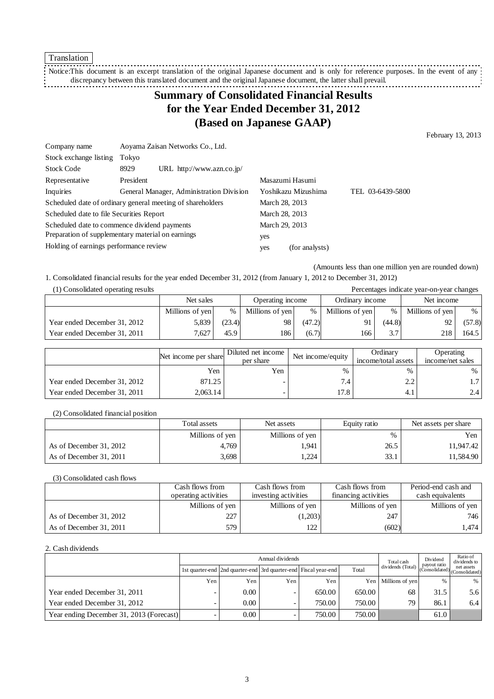Translation

Notice:This document is an excerpt translation of the original Japanese document and is only for reference purposes. In the event of any discrepancy between this translated document and the original Japanese document, the latter shall prevail. 

# **Summary of Consolidated Financial Results for the Year Ended December 31, 2012 (Based on Japanese GAAP)**

February 13, 2013

| Company name                                 | Aoyama Zaisan Networks Co., Ltd.                           |                       |                  |  |  |
|----------------------------------------------|------------------------------------------------------------|-----------------------|------------------|--|--|
| Stock exchange listing                       | Tokyo                                                      |                       |                  |  |  |
| <b>Stock Code</b>                            | URL http://www.azn.co.jp/<br>8929                          |                       |                  |  |  |
| Representative                               | President                                                  | Masazumi Hasumi       |                  |  |  |
| Inquiries                                    | General Manager, Administration Division                   | Yoshikazu Mizushima   | TEL 03-6439-5800 |  |  |
|                                              | Scheduled date of ordinary general meeting of shareholders | March 28, 2013        |                  |  |  |
| Scheduled date to file Securities Report     |                                                            | March 28, 2013        |                  |  |  |
| Scheduled date to commence dividend payments |                                                            | March 29, 2013        |                  |  |  |
|                                              | Preparation of supplementary material on earnings          | yes                   |                  |  |  |
| Holding of earnings performance review       |                                                            | (for analysts)<br>yes |                  |  |  |

(Amounts less than one million yen are rounded down)

1. Consolidated financial results for the year ended December 31, 2012 (from January 1, 2012 to December 31, 2012) (1) Consolidated operating results Percentages indicate year-on-year changes

| (1) Consolidated operating results<br>Percentages indicate year-on-year changes |                 |        |                  |        |                 |        |                 |        |
|---------------------------------------------------------------------------------|-----------------|--------|------------------|--------|-----------------|--------|-----------------|--------|
|                                                                                 | Net sales       |        | Operating income |        | Ordinary income |        | Net income      |        |
|                                                                                 | Millions of yen | $\%$   | Millions of yen  | %      | Millions of yen | $\%$   | Millions of yen | $\%$   |
| Year ended December 31, 2012                                                    | 5.839           | (23.4) | 98               | (47.2) | 91              | (44.8) | 92              | (57.8) |
| Year ended December 31, 2011                                                    | 7.627           | 45.9   | 186              | (6.7)  | 166             | 3.7    | 218             | 164.5  |

|                              | Net income per share | Diluted net income<br>per share | Net income/equity | Ordinary<br>income/total assets | Operating<br>income/net sales |
|------------------------------|----------------------|---------------------------------|-------------------|---------------------------------|-------------------------------|
|                              | Yen                  | Yen                             | $\%$              | %                               | %                             |
| Year ended December 31, 2012 | 871.25               |                                 | 7.4               | າ າ<br>2. L                     | $1.7^{\circ}$                 |
| Year ended December 31, 2011 | 2,063.14             |                                 | 17.8              | 4.1                             | 2.4                           |

### (2) Consolidated financial position

|                         | Total assets    | Net assets      | Equity ratio | Net assets per share |  |
|-------------------------|-----------------|-----------------|--------------|----------------------|--|
|                         | Millions of yen | Millions of yen | %            | Yen                  |  |
| As of December 31, 2012 | 4,769           | 1,941           | 26.5         | 11,947.42            |  |
| As of December 31, 2011 | 3,698           | .224            | 33.1         | 11,584.90            |  |

### (3) Consolidated cash flows

|                         | Cash flows from      | Cash flows from      | Cash flows from      | Period-end cash and |
|-------------------------|----------------------|----------------------|----------------------|---------------------|
|                         | operating activities | investing activities | financing activities | cash equivalents    |
|                         | Millions of yen      | Millions of yen      | Millions of yen      | Millions of yen     |
| As of December 31, 2012 | 227                  | (1,203)              | 247                  | 746                 |
| As of December 31, 2011 | 579                  | 122                  | (602)                | 1,474               |

#### 2. Cash dividends

|                                          |     | Annual dividends                                                |     |        |        |                     |                                               | Ratio of<br>dividends to |
|------------------------------------------|-----|-----------------------------------------------------------------|-----|--------|--------|---------------------|-----------------------------------------------|--------------------------|
|                                          |     | 1st quarter-end 2nd quarter-end 3rd quarter-end Fiscal year-end |     |        | Total  | dividends (Total)   | payout ratio<br>(Consolidated) (Consolidated) | net assets               |
|                                          | Yen | Yen.                                                            | Yen | Yen    |        | Yen Millions of yen | $\%$                                          | %                        |
| Year ended December 31, 2011             |     | 0.00                                                            |     | 650.00 | 650.00 | 68                  | 31.5                                          | 5.6                      |
| Year ended December 31, 2012             |     | 0.00                                                            |     | 750.00 | 750.00 | 79                  | 86.1                                          | 6.4                      |
| Year ending December 31, 2013 (Forecast) |     | 0.00                                                            |     | 750.00 | 750.00 |                     | 61.0                                          |                          |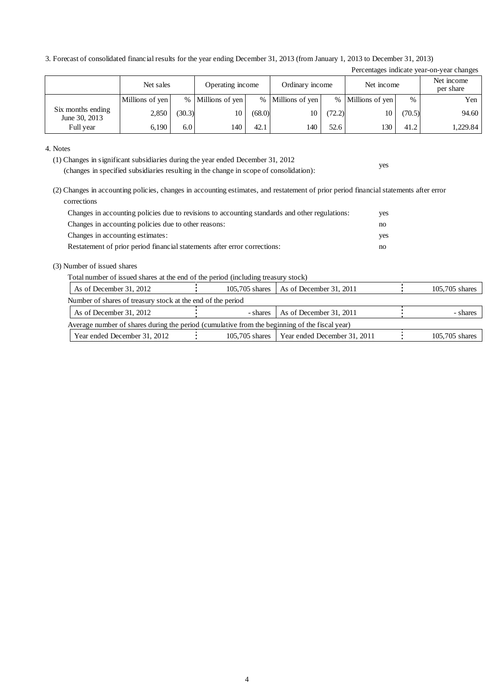3. Forecast of consolidated financial results for the year ending December 31, 2013 (from January 1, 2013 to December 31, 2013)

| Percentages indicate year-on-year changes |                               |        |                 |        |                   |        |                   |        |            |  |                         |
|-------------------------------------------|-------------------------------|--------|-----------------|--------|-------------------|--------|-------------------|--------|------------|--|-------------------------|
|                                           | Operating income<br>Net sales |        |                 |        | Ordinary income   |        |                   |        | Net income |  | Net income<br>per share |
|                                           | Millions of yen               | $\%$   | Millions of yen |        | % Millions of yen |        | % Millions of yen | $\%$   | Yen        |  |                         |
| Six months ending<br>June 30, 2013        | 2,850                         | (30.3) | 10              | (68.0) | 10                | (72.2) | l0                | (70.5) | 94.60      |  |                         |
| Full year                                 | 6,190                         | 6.0    | 140             | 42.1   | 140               | 52.6   | 130               | 41.2   | 1.229.84   |  |                         |

yes

#### 4. Notes

(1) Changes in significant subsidiaries during the year ended December 31, 2012 (changes in specified subsidiaries resulting in the change in scope of consolidation):

(2) Changes in accounting policies, changes in accounting estimates, and restatement of prior period financial statements after error corrections

| Changes in accounting policies due to revisions to accounting standards and other regulations: | ves |
|------------------------------------------------------------------------------------------------|-----|
| Changes in accounting policies due to other reasons:                                           | no. |
| Changes in accounting estimates:                                                               | ves |
| Restatement of prior period financial statements after error corrections:                      | no. |

### (3) Number of issued shares

Total number of issued shares at the end of the period (including treasury stock)

| As of December 31, 2012                                                                       |  | 105,705 shares   As of December 31, 2011      |  | $105.705$ shares |  |  |  |
|-----------------------------------------------------------------------------------------------|--|-----------------------------------------------|--|------------------|--|--|--|
| Number of shares of treasury stock at the end of the period                                   |  |                                               |  |                  |  |  |  |
| As of December 31, 2012                                                                       |  | - shares As of December 31, 2011              |  | - shares         |  |  |  |
| Average number of shares during the period (cumulative from the beginning of the fiscal year) |  |                                               |  |                  |  |  |  |
| Year ended December 31, 2012                                                                  |  | 105,705 shares   Year ended December 31, 2011 |  | $105.705$ shares |  |  |  |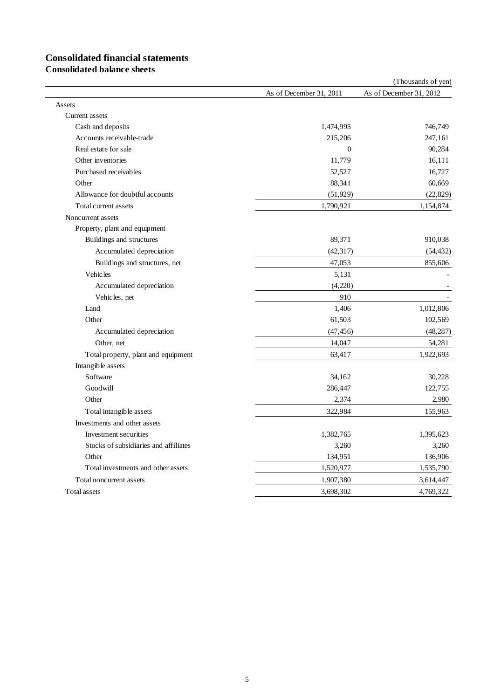# **Consolidated financial statements**

**Consolidated balance sheets**

|                                       |                         | (Thousands of yen)      |
|---------------------------------------|-------------------------|-------------------------|
|                                       | As of December 31, 2011 | As of December 31, 2012 |
| Assets                                |                         |                         |
| Current assets                        |                         |                         |
| Cash and deposits                     | 1,474,995               | 746,749                 |
| Accounts receivable-trade             | 215,206                 | 247,161                 |
| Real estate for sale                  | $\Omega$                | 90,284                  |
| Other inventories                     | 11,779                  | 16,111                  |
| Purchased receivables                 | 52,527                  | 16,727                  |
| Other                                 | 88,341                  | 60,669                  |
| Allowance for doubtful accounts       | (51, 929)               | (22, 829)               |
| Total current assets                  | 1,790,921               | 1,154,874               |
| Noncurrent assets                     |                         |                         |
| Property, plant and equipment         |                         |                         |
| Buildings and structures              | 89,371                  | 910,038                 |
| Accumulated depreciation              | (42, 317)               | (54, 432)               |
| Buildings and structures, net         | 47,053                  | 855,606                 |
| <b>Vehicles</b>                       | 5,131                   |                         |
| Accumulated depreciation              | (4,220)                 |                         |
| Vehicles, net                         | 910                     |                         |
| Land                                  | 1,406                   | 1,012,806               |
| Other                                 | 61,503                  | 102,569                 |
| Accumulated depreciation              | (47, 456)               | (48, 287)               |
| Other, net                            | 14,047                  | 54,281                  |
| Total property, plant and equipment   | 63,417                  | 1,922,693               |
| Intangible assets                     |                         |                         |
| Software                              | 34,162                  | 30,228                  |
| Goodwill                              | 286,447                 | 122,755                 |
| Other                                 | 2,374                   | 2,980                   |
| Total intangible assets               | 322,984                 | 155,963                 |
| Investments and other assets          |                         |                         |
| Investment securities                 | 1,382,765               | 1,395,623               |
| Stocks of subsidiaries and affiliates | 3,260                   | 3,260                   |
| Other                                 | 134,951                 | 136,906                 |
| Total investments and other assets    | 1,520,977               | 1,535,790               |
| Total noncurrent assets               | 1,907,380               | 3,614,447               |
| Total assets                          | 3,698,302               | 4,769,322               |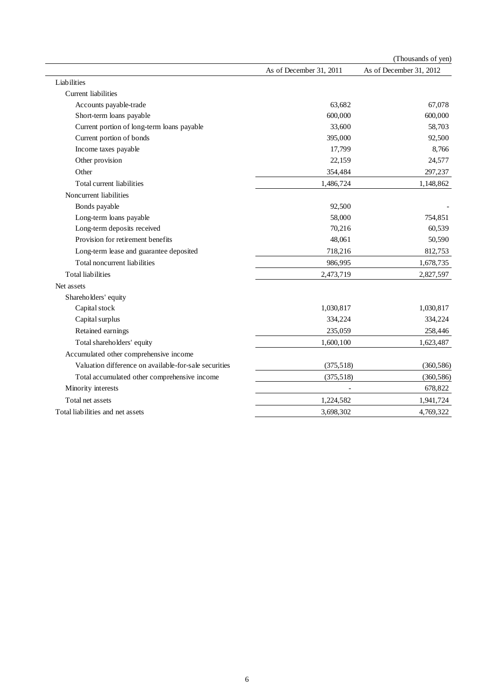|                                                       |                         | (Thousands of yen)      |
|-------------------------------------------------------|-------------------------|-------------------------|
|                                                       | As of December 31, 2011 | As of December 31, 2012 |
| Liabilities                                           |                         |                         |
| <b>Current liabilities</b>                            |                         |                         |
| Accounts payable-trade                                | 63,682                  | 67,078                  |
| Short-term loans payable                              | 600,000                 | 600,000                 |
| Current portion of long-term loans payable            | 33,600                  | 58,703                  |
| Current portion of bonds                              | 395,000                 | 92,500                  |
| Income taxes payable                                  | 17,799                  | 8,766                   |
| Other provision                                       | 22,159                  | 24,577                  |
| Other                                                 | 354,484                 | 297,237                 |
| Total current liabilities                             | 1,486,724               | 1,148,862               |
| Noncurrent liabilities                                |                         |                         |
| Bonds payable                                         | 92,500                  |                         |
| Long-term loans payable                               | 58,000                  | 754,851                 |
| Long-term deposits received                           | 70,216                  | 60,539                  |
| Provision for retirement benefits                     | 48,061                  | 50,590                  |
| Long-term lease and guarantee deposited               | 718,216                 | 812,753                 |
| Total noncurrent liabilities                          | 986,995                 | 1,678,735               |
| <b>Total liabilities</b>                              | 2,473,719               | 2,827,597               |
| Net assets                                            |                         |                         |
| Shareholders' equity                                  |                         |                         |
| Capital stock                                         | 1,030,817               | 1,030,817               |
| Capital surplus                                       | 334,224                 | 334,224                 |
| Retained earnings                                     | 235,059                 | 258,446                 |
| Total shareholders' equity                            | 1,600,100               | 1,623,487               |
| Accumulated other comprehensive income                |                         |                         |
| Valuation difference on available-for-sale securities | (375,518)               | (360, 586)              |
| Total accumulated other comprehensive income          | (375, 518)              | (360, 586)              |
| Minority interests                                    |                         | 678,822                 |
| Total net assets                                      | 1,224,582               | 1,941,724               |
| Total liabilities and net assets                      | 3,698,302               | 4,769,322               |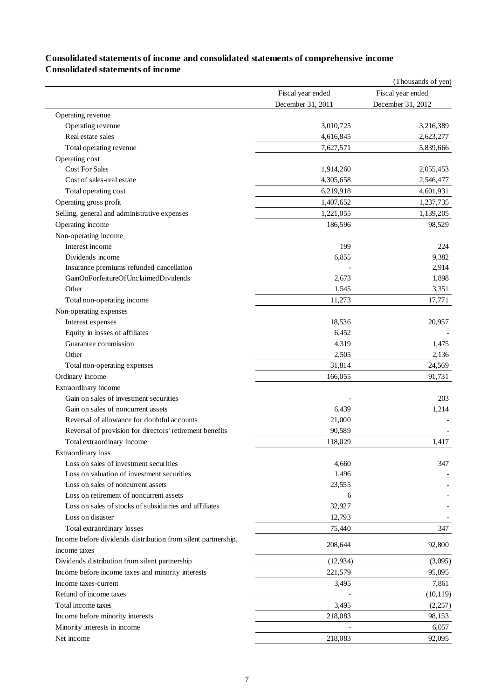### **Consolidated statements of income and consolidated statements of comprehensive income Consolidated statements of income**

|                                                                               |                   | (Thousands of yen) |
|-------------------------------------------------------------------------------|-------------------|--------------------|
|                                                                               | Fiscal year ended | Fiscal year ended  |
|                                                                               | December 31, 2011 | December 31, 2012  |
| Operating revenue                                                             |                   |                    |
| Operating revenue                                                             | 3,010,725         | 3,216,389          |
| Real estate sales                                                             | 4,616,845         | 2,623,277          |
| Total operating revenue                                                       | 7,627,571         | 5,839,666          |
| Operating cost                                                                |                   |                    |
| Cost For Sales                                                                | 1,914,260         | 2,055,453          |
| Cost of sales-real estate                                                     | 4,305,658         | 2,546,477          |
| Total operating cost                                                          | 6,219,918         | 4,601,931          |
| Operating gross profit                                                        | 1,407,652         | 1,237,735          |
| Selling, general and administrative expenses                                  | 1,221,055         | 1,139,205          |
| Operating income                                                              | 186,596           | 98,529             |
| Non-operating income                                                          |                   |                    |
| Interest income                                                               | 199               | 224                |
| Dividends income                                                              | 6,855             | 9,382              |
| Insurance premiums refunded cancellation                                      |                   | 2,914              |
| GainOnForfeitureOfUnclaimedDividends                                          | 2,673             | 1,898              |
| Other                                                                         | 1,545             | 3,351              |
| Total non-operating income                                                    | 11,273            | 17,771             |
| Non-operating expenses                                                        |                   |                    |
| Interest expenses                                                             | 18,536            | 20,957             |
| Equity in losses of affiliates                                                | 6,452             |                    |
| Guarantee commission                                                          | 4,319             | 1,475              |
| Other                                                                         | 2,505             | 2,136              |
| Total non-operating expenses                                                  | 31,814            | 24,569             |
|                                                                               |                   | 91,731             |
| Ordinary income                                                               | 166,055           |                    |
| Extraordinary income                                                          |                   |                    |
| Gain on sales of investment securities                                        |                   | 203                |
| Gain on sales of noncurrent assets                                            | 6,439             | 1,214              |
| Reversal of allowance for doubtful accounts                                   | 21,000            |                    |
| Reversal of provision for directors' retirement benefits                      | 90,589            |                    |
| Total extraordinary income                                                    | 118,029           | 1,417              |
| Extraordinary loss                                                            |                   |                    |
| Loss on sales of investment securities                                        | 4,660             | 347                |
| Loss on valuation of investment securities                                    | 1,496             |                    |
| Loss on sales of noncurrent assets                                            | 23,555            |                    |
| Loss on retirement of noncurrent assets                                       | 6                 |                    |
| Loss on sales of stocks of subsidiaries and affiliates                        | 32,927            |                    |
| Loss on disaster                                                              | 12,793            |                    |
| Total extraordinary losses                                                    | 75,440            | 347                |
| Income before dividends distribution from silent partnership,<br>income taxes | 208,644           | 92,800             |
| Dividends distribution from silent partnership                                | (12, 934)         | (3,095)            |
| Income before income taxes and minority interests                             | 221,579           | 95,895             |
| Income taxes-current                                                          | 3,495             | 7,861              |
| Refund of income taxes                                                        |                   | (10, 119)          |
| Total income taxes                                                            | 3,495             | (2,257)            |
| Income before minority interests                                              | 218,083           | 98,153             |
| Minority interests in income                                                  |                   | 6,057              |
|                                                                               | 218,083           |                    |
| Net income                                                                    |                   | 92,095             |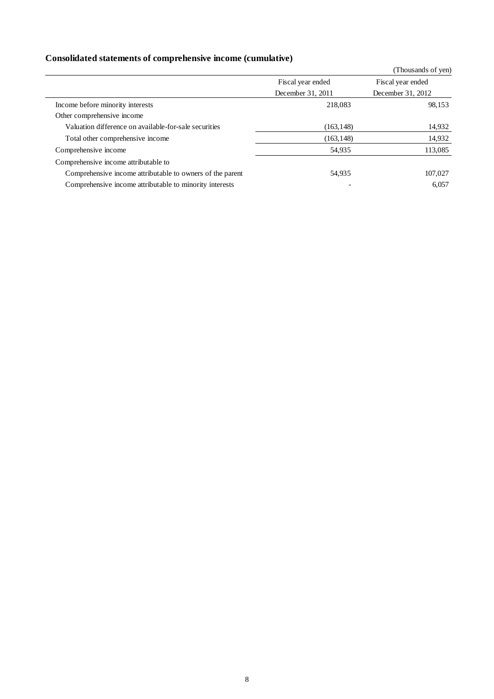## **Consolidated statements of comprehensive income (cumulative)**

|                                                           |                   | (Thousands of yen) |
|-----------------------------------------------------------|-------------------|--------------------|
|                                                           | Fiscal year ended | Fiscal year ended  |
|                                                           | December 31, 2011 | December 31, 2012  |
| Income before minority interests                          | 218,083           | 98,153             |
| Other comprehensive income                                |                   |                    |
| Valuation difference on available-for-sale securities     | (163, 148)        | 14,932             |
| Total other comprehensive income                          | (163, 148)        | 14,932             |
| Comprehensive income                                      | 54,935            | 113,085            |
| Comprehensive income attributable to                      |                   |                    |
| Comprehensive income attributable to owners of the parent | 54,935            | 107,027            |
| Comprehensive income attributable to minority interests   |                   | 6,057              |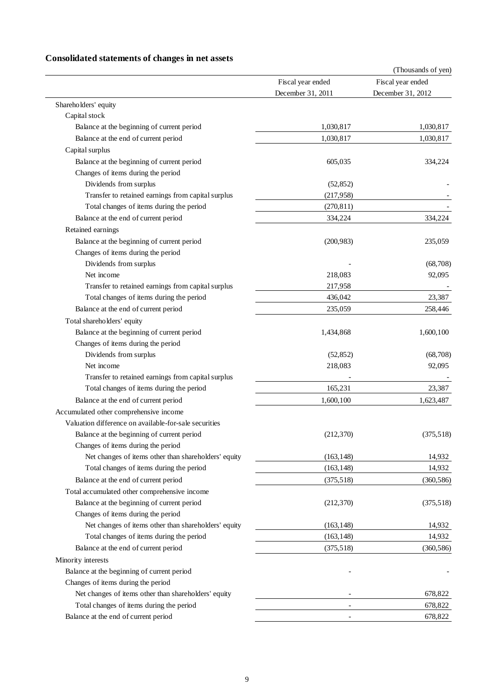## **Consolidated statements of changes in net assets**

|                                                       |                                        | (Thousands of yen)                     |  |
|-------------------------------------------------------|----------------------------------------|----------------------------------------|--|
|                                                       | Fiscal year ended<br>December 31, 2011 | Fiscal year ended<br>December 31, 2012 |  |
|                                                       |                                        |                                        |  |
| Shareholders' equity                                  |                                        |                                        |  |
| Capital stock                                         |                                        |                                        |  |
| Balance at the beginning of current period            | 1,030,817                              | 1,030,817                              |  |
| Balance at the end of current period                  | 1,030,817                              | 1,030,817                              |  |
| Capital surplus                                       |                                        |                                        |  |
| Balance at the beginning of current period            | 605,035                                | 334,224                                |  |
| Changes of items during the period                    |                                        |                                        |  |
| Dividends from surplus                                | (52, 852)                              |                                        |  |
| Transfer to retained earnings from capital surplus    | (217,958)                              |                                        |  |
| Total changes of items during the period              | (270, 811)                             |                                        |  |
| Balance at the end of current period                  | 334,224                                | 334,224                                |  |
| Retained earnings                                     |                                        |                                        |  |
| Balance at the beginning of current period            | (200, 983)                             | 235,059                                |  |
| Changes of items during the period                    |                                        |                                        |  |
| Dividends from surplus                                |                                        | (68,708)                               |  |
| Net income                                            | 218,083                                | 92,095                                 |  |
| Transfer to retained earnings from capital surplus    | 217,958                                |                                        |  |
| Total changes of items during the period              | 436,042                                | 23,387                                 |  |
| Balance at the end of current period                  | 235,059                                | 258,446                                |  |
| Total shareholders' equity                            |                                        |                                        |  |
| Balance at the beginning of current period            | 1,434,868                              | 1,600,100                              |  |
| Changes of items during the period                    |                                        |                                        |  |
| Dividends from surplus                                | (52, 852)                              | (68,708)                               |  |
| Net income                                            | 218,083                                | 92,095                                 |  |
| Transfer to retained earnings from capital surplus    |                                        |                                        |  |
| Total changes of items during the period              | 165,231                                | 23,387                                 |  |
| Balance at the end of current period                  | 1,600,100                              | 1,623,487                              |  |
| Accumulated other comprehensive income                |                                        |                                        |  |
| Valuation difference on available-for-sale securities |                                        |                                        |  |
| Balance at the beginning of current period            | (212, 370)                             | (375,518)                              |  |
| Changes of items during the period                    |                                        |                                        |  |
| Net changes of items other than shareholders' equity  | (163, 148)                             | 14,932                                 |  |
| Total changes of items during the period              | (163, 148)                             | 14,932                                 |  |
| Balance at the end of current period                  | (375,518)                              | (360, 586)                             |  |
| Total accumulated other comprehensive income          |                                        |                                        |  |
| Balance at the beginning of current period            | (212, 370)                             | (375,518)                              |  |
| Changes of items during the period                    |                                        |                                        |  |
| Net changes of items other than shareholders' equity  | (163, 148)                             | 14,932                                 |  |
| Total changes of items during the period              | (163, 148)                             | 14,932                                 |  |
| Balance at the end of current period                  | (375,518)                              | (360, 586)                             |  |
| Minority interests                                    |                                        |                                        |  |
| Balance at the beginning of current period            |                                        |                                        |  |
| Changes of items during the period                    |                                        |                                        |  |
| Net changes of items other than shareholders' equity  |                                        | 678,822                                |  |
| Total changes of items during the period              |                                        | 678,822                                |  |
| Balance at the end of current period                  |                                        | 678,822                                |  |
|                                                       |                                        |                                        |  |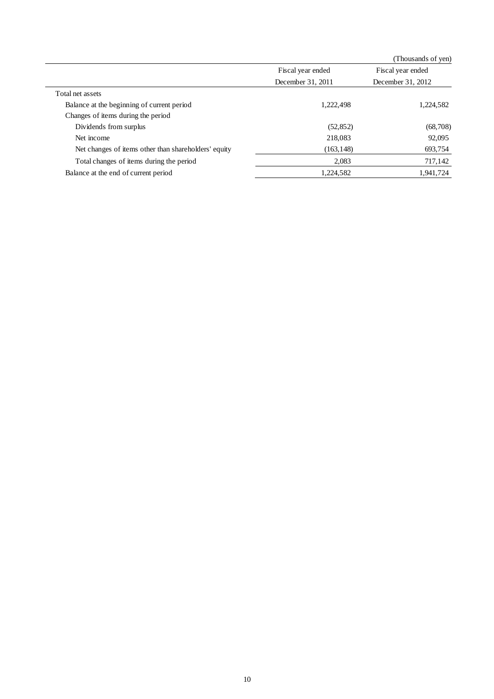|                                                      |                   | (Thousands of yen) |
|------------------------------------------------------|-------------------|--------------------|
|                                                      | Fiscal year ended | Fiscal year ended  |
|                                                      | December 31, 2011 | December 31, 2012  |
| Total net assets                                     |                   |                    |
| Balance at the beginning of current period           | 1,222,498         | 1,224,582          |
| Changes of items during the period                   |                   |                    |
| Dividends from surplus                               | (52, 852)         | (68,708)           |
| Net income                                           | 218,083           | 92,095             |
| Net changes of items other than shareholders' equity | (163, 148)        | 693,754            |
| Total changes of items during the period             | 2,083             | 717,142            |
| Balance at the end of current period                 | 1,224,582         | 1,941,724          |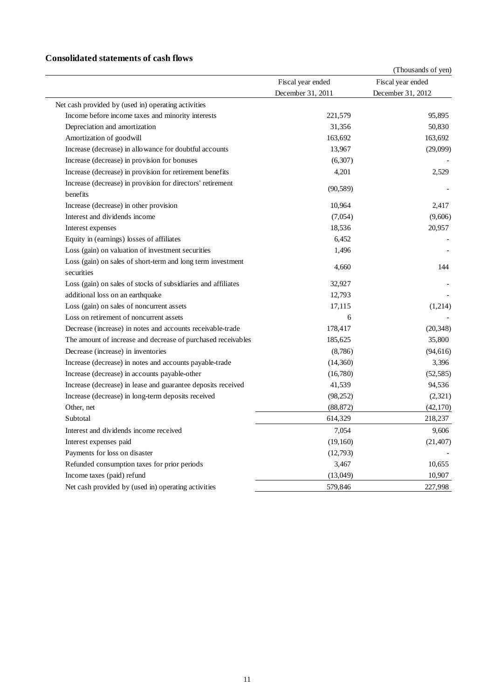### **Consolidated statements of cash flows**

|                                                                           |                                        | (Thousands of yen) |
|---------------------------------------------------------------------------|----------------------------------------|--------------------|
|                                                                           | Fiscal year ended<br>December 31, 2011 | Fiscal year ended  |
|                                                                           |                                        | December 31, 2012  |
| Net cash provided by (used in) operating activities                       |                                        |                    |
| Income before income taxes and minority interests                         | 221,579                                | 95,895             |
| Depreciation and amortization                                             | 31,356                                 | 50,830             |
| Amortization of goodwill                                                  | 163,692                                | 163,692            |
| Increase (decrease) in allowance for doubtful accounts                    | 13,967                                 | (29,099)           |
| Increase (decrease) in provision for bonuses                              | (6,307)                                |                    |
| Increase (decrease) in provision for retirement benefits                  | 4,201                                  | 2,529              |
| Increase (decrease) in provision for directors' retirement<br>benefits    | (90, 589)                              |                    |
| Increase (decrease) in other provision                                    | 10,964                                 | 2.417              |
| Interest and dividends income                                             | (7,054)                                | (9,606)            |
| Interest expenses                                                         | 18,536                                 | 20,957             |
| Equity in (earnings) losses of affiliates                                 | 6,452                                  |                    |
| Loss (gain) on valuation of investment securities                         | 1,496                                  |                    |
| Loss (gain) on sales of short-term and long term investment<br>securities | 4,660                                  | 144                |
| Loss (gain) on sales of stocks of subsidiaries and affiliates             | 32,927                                 |                    |
| additional loss on an earthquake                                          | 12,793                                 |                    |
| Loss (gain) on sales of noncurrent assets                                 | 17,115                                 | (1,214)            |
| Loss on retirement of noncurrent assets                                   | 6                                      |                    |
| Decrease (increase) in notes and accounts receivable-trade                | 178,417                                | (20, 348)          |
| The amount of increase and decrease of purchased receivables              | 185,625                                | 35,800             |
| Decrease (increase) in inventories                                        | (8,786)                                | (94, 616)          |
| Increase (decrease) in notes and accounts payable-trade                   | (14,360)                               | 3,396              |
| Increase (decrease) in accounts payable-other                             | (16,780)                               | (52, 585)          |
| Increase (decrease) in lease and guarantee deposits received              | 41,539                                 | 94,536             |
| Increase (decrease) in long-term deposits received                        | (98, 252)                              | (2,321)            |
| Other, net                                                                | (88, 872)                              | (42, 170)          |
| Subtotal                                                                  | 614,329                                | 218,237            |
| Interest and dividends income received                                    | 7,054                                  | 9,606              |
| Interest expenses paid                                                    | (19,160)                               | (21, 407)          |
| Payments for loss on disaster                                             | (12,793)                               |                    |
| Refunded consumption taxes for prior periods                              | 3,467                                  | 10,655             |
| Income taxes (paid) refund                                                | (13,049)                               | 10,907             |
| Net cash provided by (used in) operating activities                       | 579,846                                | 227,998            |